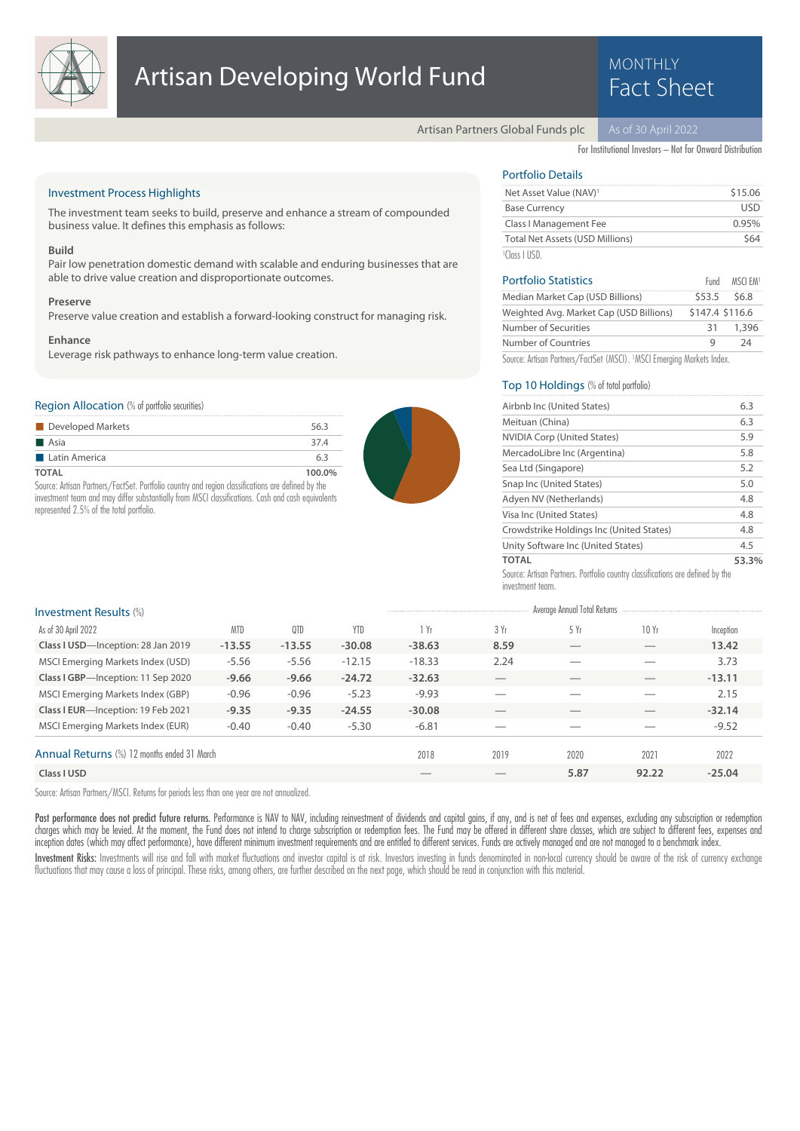

# **Artisan Developing World Fund Fund Fact Sheet**

# **MONTHLY**

Artisan Partners Global Funds plc

For Institutional Investors – Not for Onward Distribution

# Investment Process Highlights

The investment team seeks to build, preserve and enhance a stream of compounded business value. It defines this emphasis as follows:

### **Build**

Pair low penetration domestic demand with scalable and enduring businesses that are able to drive value creation and disproportionate outcomes.

#### **Preserve**

Preserve value creation and establish a forward-looking construct for managing risk.

#### **Enhance**

Leverage risk pathways to enhance long-term value creation.

# Region Allocation (% of portfolio securities)

| Developed Markets    | 56.3   |
|----------------------|--------|
| $\blacksquare$ Asia  | 37.4   |
| <b>Latin America</b> | 63     |
| TOTAL                | 100.0% |

Source: Artisan Partners/FactSet. Portfolio country and region classifications are defined by the investment team and may differ substantially from MSCI classifications. Cash and cash equivalents represented 2.5% of the total portfolio.



# Portfolio Details

| Net Asset Value (NAV) <sup>1</sup> | \$15.06 |
|------------------------------------|---------|
| <b>Base Currency</b>               | USD     |
| Class I Management Fee             | 0.95%   |
| Total Net Assets (USD Millions)    | \$64    |
| $1$ Class LUSD                     |         |

| <b>Portfolio Statistics</b>             |                 | Fund MSCLEM |
|-----------------------------------------|-----------------|-------------|
| Median Market Cap (USD Billions)        | $$53.5$ $$6.8$  |             |
| Weighted Avg. Market Cap (USD Billions) | \$147.4 \$116.6 |             |
| Number of Securities                    | 31              | 1,396       |
| Number of Countries                     | q               | 24          |

Source: Artisan Partners/FactSet (MSCI). <sup>1</sup>MSCI Emerging Markets Index.

# Top 10 Holdings (% of total portfolio)

| Airbnb Inc (United States)                                                     | 6.3   |
|--------------------------------------------------------------------------------|-------|
| Meituan (China)                                                                | 6.3   |
| <b>NVIDIA Corp (United States)</b>                                             | 5.9   |
| MercadoLibre Inc (Argentina)                                                   | 5.8   |
| Sea Ltd (Singapore)                                                            | 5.2   |
| Snap Inc (United States)                                                       | 5.0   |
| Adyen NV (Netherlands)                                                         | 4.8   |
| Visa Inc (United States)                                                       | 4.8   |
| Crowdstrike Holdings Inc (United States)                                       | 4.8   |
| Unity Software Inc (United States)                                             | 4.5   |
| <b>TOTAL</b>                                                                   | 53.3% |
| Source: Artisan Partners. Portfolio country classifications are defined by the |       |

Source: Artisan Partners. Portfolio country classifications are defined by the investment team.

| <b>Investment Results (%)</b>               |            |          |            |          |                          | Average Annual Total Returns |       |           |
|---------------------------------------------|------------|----------|------------|----------|--------------------------|------------------------------|-------|-----------|
| As of 30 April 2022                         | <b>MTD</b> | 0TD      | <b>YTD</b> | 1 Yr     | 3 Yr                     | 5 Yr                         | 10 Yr | Inception |
| Class I USD-Inception: 28 Jan 2019          | $-13.55$   | $-13.55$ | $-30.08$   | $-38.63$ | 8.59                     |                              |       | 13.42     |
| MSCI Emerging Markets Index (USD)           | $-5.56$    | $-5.56$  | $-12.15$   | $-18.33$ | 2.24                     |                              |       | 3.73      |
| Class I GBP-Inception: 11 Sep 2020          | $-9.66$    | $-9.66$  | $-24.72$   | $-32.63$ |                          |                              |       | $-13.11$  |
| MSCI Emerging Markets Index (GBP)           | $-0.96$    | $-0.96$  | $-5.23$    | $-9.93$  | __                       |                              | __    | 2.15      |
| Class I EUR-Inception: 19 Feb 2021          | $-9.35$    | $-9.35$  | $-24.55$   | $-30.08$ |                          |                              | __    | $-32.14$  |
| MSCI Emerging Markets Index (EUR)           | $-0.40$    | $-0.40$  | $-5.30$    | $-6.81$  | $\overline{\phantom{a}}$ |                              | __    | $-9.52$   |
| Annual Returns (%) 12 months ended 31 March |            |          |            | 2018     | 2019                     | 2020                         | 2021  | 2022      |
| Class I USD                                 |            |          |            |          |                          | 5.87                         | 92.22 | $-25.04$  |

Source: Artisan Partners/MSCI. Returns for periods less than one year are not annualized.

Past performance does not predict future returns. Performance is NAV to NAV, including reinvestment of dividends and capital gains, if any, and is net of fees and expenses, excluding any subscription or redemption charges which may be levied. At the moment, the Fund does not intend to charge subscription or redemption fees. The Fund may be offered in different share classes, which are subject to different fees, expenses and charges inception dates (which may affect performance), have different minimum investment requirements and are entitled to different services. Funds are actively managed and are not managed to a benchmark index.

Investment Risks: Investments will rise and fall with market fluctuations and investor capital is at risk. Investors investing in funds denominated in non-local currency should be aware of the risk of currency exchange fluctuations that may cause a loss of principal. These risks, among others, are further described on the next page, which should be read in conjunction with this material.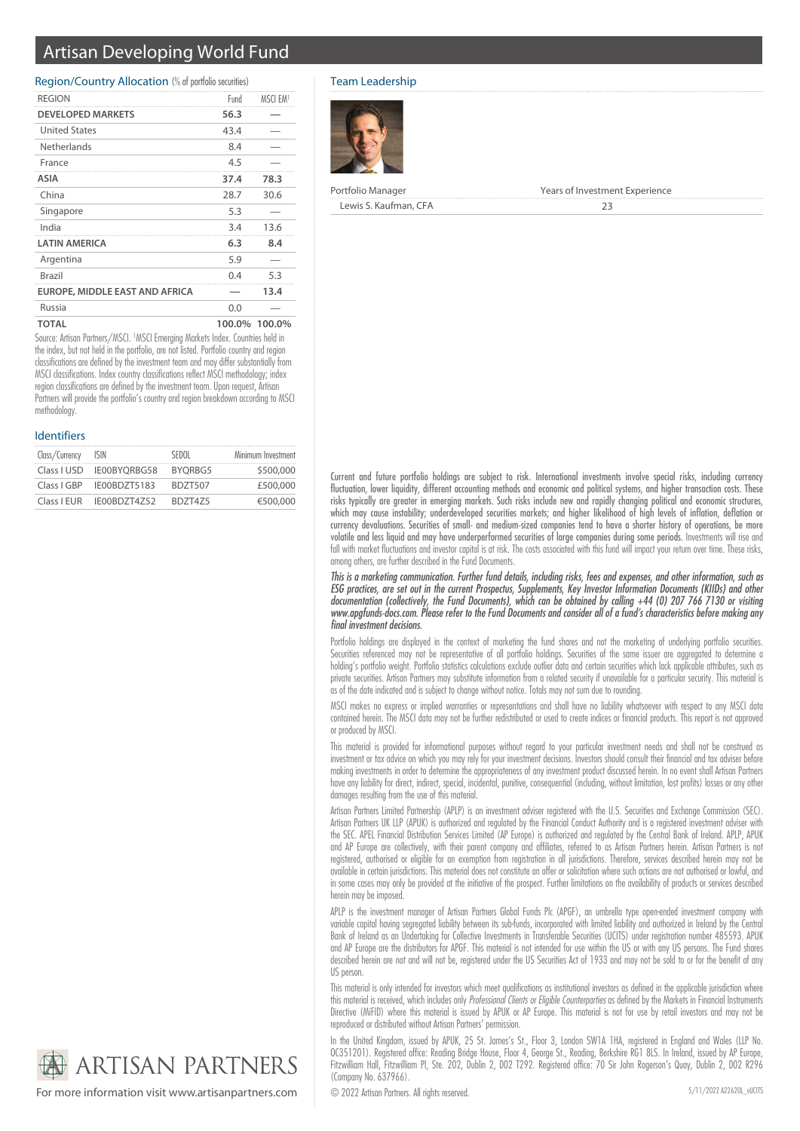# Artisan Developing World Fund

## Region/Country Allocation (% of portfolio securities)

| <b>REGION</b>                  | Fund   | MSCI EM <sup>1</sup> |
|--------------------------------|--------|----------------------|
| <b>DEVELOPED MARKETS</b>       | 56.3   |                      |
| <b>United States</b>           | 43.4   |                      |
| Netherlands                    | 8.4    |                      |
| France                         | 4.5    |                      |
| ASIA                           | 37.4   | 78.3                 |
| China                          | 28.7   | 30.6                 |
| Singapore                      | 5.3    |                      |
| India                          | 3.4    | 13.6                 |
| <b>LATIN AMERICA</b>           | 6.3    | 8.4                  |
| Argentina                      | 5.9    |                      |
| Brazil                         | 0.4    | 5.3                  |
| EUROPE, MIDDLE EAST AND AFRICA |        | 13.4                 |
| Russia                         | 0.0    |                      |
| <b>TOTAL</b>                   | 100.0% | 100.0%               |

Source: Artisan Partners/MSCI. <sup>1</sup>MSCI Emerging Markets Index. Countries held in the index, but not held in the portfolio, are not listed. Portfolio country and region classifications are defined by the investment team and may differ substantially from MSCI classifications. Index country classifications reflect MSCI methodology; index region classifications are defined by the investment team. Upon request, Artisan Partners will provide the portfolio's country and region breakdown according to MSCI methodology.

### Identifiers

| Class/Currency | – ISIN                     | SEDOL          | Minimum Investment |
|----------------|----------------------------|----------------|--------------------|
|                | Class I USD IE00BYORBG58   | BYORBG5        | \$500,000          |
|                | Class   GBP   IE00BDZT5183 | <b>BDZT507</b> | £500,000           |
|                | Class   EUR   E00BDZT4Z52  | <b>BD7T475</b> | €500,000           |

# Team Leadership



| Portfolio Manager     | Years of Investment Experience |
|-----------------------|--------------------------------|
| Lewis S. Kaufman, CFA |                                |

Current and future portfolio holdings are subject to risk. International investments involve special risks, including currency fluctuation, lower liquidity, different accounting methods and economic and political systems, and higher transaction costs. These risks typically are greater in emerging markets. Such risks include new and rapidly changing political and economic structures, which may cause instability; underdeveloped securities markets; and higher likelihood of high levels of inflation, deflation or currency devaluations. Securities of small- and medium-sized companies tend to have a shorter history of operations, be more volatile and less liquid and may have underperformed securities of large companies during some periods. Investments will rise and fall with market fluctuations and investor capital is at risk. The costs associated with this fund will impact your return over time. These risks, among others, are further described in the Fund Documents.

This is a marketing communication. Further fund details, including risks, fees and expenses, and other information, such as ESG practices, are set out in the current Prospectus, Supplements, Key Investor Information Documents (KIIDs) and other documentation (collectively, the Fund Documents), which can be obtained by calling +44 (0) 207 766 7130 or visiting www.apgfunds-docs.com. Please refer to the Fund Documents and consider all of a fund's characteristics before making any final investment decisions.

Portfolio holdings are displayed in the context of marketing the fund shares and not the marketing of underlying portfolio securities. Securities referenced may not be representative of all portfolio holdings. Securities of the same issuer are aggregated to determine a holding's portfolio weight. Portfolio statistics calculations exclude outlier data and certain securities which lack applicable attributes, such as private securities. Artisan Partners may substitute information from a related security if unavailable for a particular security. This material is as of the date indicated and is subject to change without notice. Totals may not sum due to rounding.

MSCI makes no express or implied warranties or representations and shall have no liability whatsoever with respect to any MSCI data contained herein. The MSCI data may not be further redistributed or used to create indices or financial products. This report is not approved or produced by MSCI.

This material is provided for informational purposes without regard to your particular investment needs and shall not be construed as investment or tax advice on which you may rely for your investment decisions. Investors should consult their financial and tax adviser before making investments in order to determine the appropriateness of any investment product discussed herein. In no event shall Artisan Partners have any liability for direct, indirect, special, incidental, punitive, consequential (including, without limitation, lost profits) losses or any other damages resulting from the use of this material.

Artisan Partners Limited Partnership (APLP) is an investment adviser registered with the U.S. Securities and Exchange Commission (SEC). Artisan Partners UK LLP (APUK) is authorized and regulated by the Financial Conduct Authority and is a registered investment adviser with the SEC. APEL Financial Distribution Services Limited (AP Europe) is authorized and regulated by the Central Bank of Ireland. APLP, APUK and AP Europe are collectively, with their parent company and affiliates, referred to as Artisan Partners herein. Artisan Partners is not registered, authorised or eligible for an exemption from registration in all jurisdictions. Therefore, services described herein may not be available in certain jurisdictions. This material does not constitute an offer or solicitation where such actions are not authorised or lawful, and in some cases may only be provided at the initiative of the prospect. Further limitations on the availability of products or services described herein may be imposed.

APLP is the investment manager of Artisan Partners Global Funds Plc (APGF), an umbrella type open-ended investment company with variable capital having segregated liability between its sub-funds, incorporated with limited liability and authorized in Ireland by the Central Bank of Ireland as an Undertaking for Collective Investments in Transferable Securities (UCITS) under registration number 485593. APUK and AP Europe are the distributors for APGF. This material is not intended for use within the US or with any US persons. The Fund shares described herein are not and will not be, registered under the US Securities Act of 1933 and may not be sold to or for the benefit of any US person.

This material is only intended for investors which meet qualifications as institutional investors as defined in the applicable jurisdiction where this material is received, which includes only Professional Clients or Eligible Counterparties as defined by the Markets in Financial Instruments Directive (MiFID) where this material is issued by APUK or AP Europe. This material is not for use by retail investors and may not be reproduced or distributed without Artisan Partners' permission.

In the United Kingdom, issued by APUK, 25 St. James's St., Floor 3, London SW1A 1HA, registered in England and Wales (LLP No. OC351201). Registered office: Reading Bridge House, Floor 4, George St., Reading, Berkshire RG1 8LS. In Ireland, issued by AP Europe, Fitzwilliam Hall, Fitzwilliam Pl, Ste. 202, Dublin 2, D02 T292. Registered office: 70 Sir John Rogerson's Quay, Dublin 2, D02 R296 (Company No. 637966).



For more information visit www.artisanpartners.com © 2022 Artisan Partners. All rights reserved.